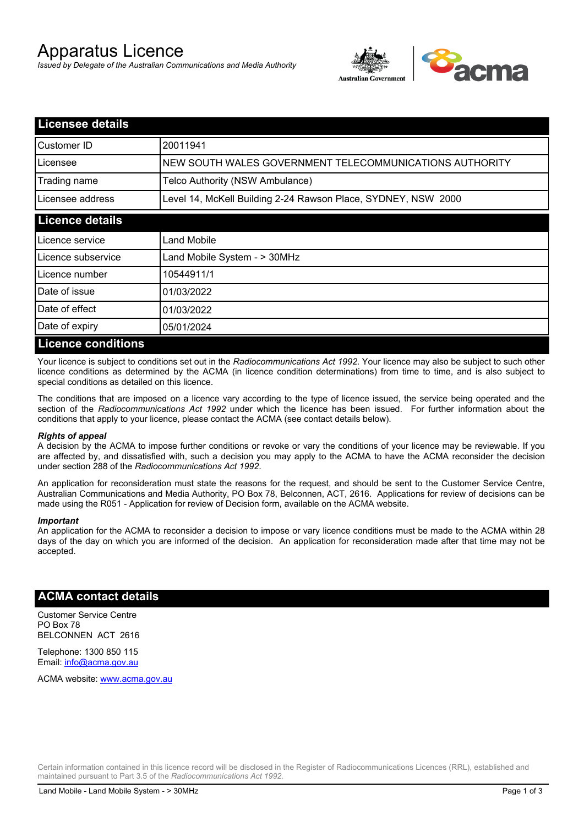# Apparatus Licence

*Issued by Delegate of the Australian Communications and Media Authority*



| <b>Licensee details</b>   |                                                               |
|---------------------------|---------------------------------------------------------------|
| Customer ID               | 20011941                                                      |
| Licensee                  | NEW SOUTH WALES GOVERNMENT TELECOMMUNICATIONS AUTHORITY       |
| Trading name              | Telco Authority (NSW Ambulance)                               |
| Licensee address          | Level 14, McKell Building 2-24 Rawson Place, SYDNEY, NSW 2000 |
| <b>Licence details</b>    |                                                               |
| Licence service           | Land Mobile                                                   |
| Licence subservice        | Land Mobile System - > 30MHz                                  |
| Licence number            | 10544911/1                                                    |
| Date of issue             | 01/03/2022                                                    |
| Date of effect            | 01/03/2022                                                    |
| Date of expiry            | 05/01/2024                                                    |
| <b>Licence conditions</b> |                                                               |

Your licence is subject to conditions set out in the *Radiocommunications Act 1992*. Your licence may also be subject to such other licence conditions as determined by the ACMA (in licence condition determinations) from time to time, and is also subject to special conditions as detailed on this licence.

The conditions that are imposed on a licence vary according to the type of licence issued, the service being operated and the section of the *Radiocommunications Act 1992* under which the licence has been issued. For further information about the conditions that apply to your licence, please contact the ACMA (see contact details below).

#### *Rights of appeal*

A decision by the ACMA to impose further conditions or revoke or vary the conditions of your licence may be reviewable. If you are affected by, and dissatisfied with, such a decision you may apply to the ACMA to have the ACMA reconsider the decision under section 288 of the *Radiocommunications Act 1992*.

An application for reconsideration must state the reasons for the request, and should be sent to the Customer Service Centre, Australian Communications and Media Authority, PO Box 78, Belconnen, ACT, 2616. Applications for review of decisions can be made using the R051 - Application for review of Decision form, available on the ACMA website.

#### *Important*

An application for the ACMA to reconsider a decision to impose or vary licence conditions must be made to the ACMA within 28 days of the day on which you are informed of the decision. An application for reconsideration made after that time may not be accepted.

### **ACMA contact details**

Customer Service Centre PO Box 78 BELCONNEN ACT 2616

Telephone: 1300 850 115 Email: info@acma.gov.au

ACMA website: www.acma.gov.au

Certain information contained in this licence record will be disclosed in the Register of Radiocommunications Licences (RRL), established and maintained pursuant to Part 3.5 of the *Radiocommunications Act 1992.*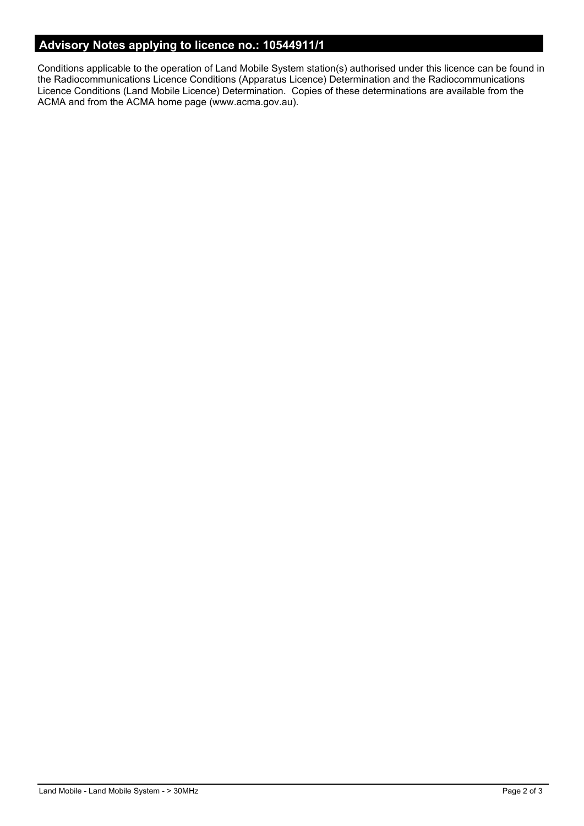# **Advisory Notes applying to licence no.: 10544911/1**

Conditions applicable to the operation of Land Mobile System station(s) authorised under this licence can be found in the Radiocommunications Licence Conditions (Apparatus Licence) Determination and the Radiocommunications Licence Conditions (Land Mobile Licence) Determination. Copies of these determinations are available from the ACMA and from the ACMA home page (www.acma.gov.au).